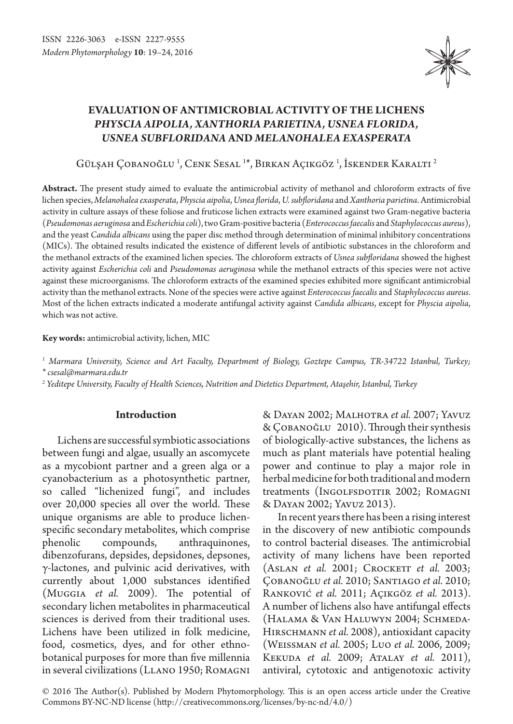

# **Evaluation of antimicrobial activity of the lichens**  *Physcia aipolia, Xanthoria parietina, Usnea florida, Usnea subfloridana* **and** *Melanohalea exasperata*

Gülşah Çobanoğlu <sup>1</sup>, Cenk Sesal <sup>1\*</sup>, Birkan Açıkgöz <sup>1</sup>, Iskender Karaltı <sup>2</sup>

**Abstract.** The present study aimed to evaluate the antimicrobial activity of methanol and chloroform extracts of five lichen species, *Melanohalea exasperata*, *Physcia aipolia*, *Usnea florida*, *U. subfloridana* and *Xanthoria parietina*. Antimicrobial activity in culture assays of these foliose and fruticose lichen extracts were examined against two Gram-negative bacteria (*Pseudomonas aeruginosa* and *Escherichia coli*), two Gram-positive bacteria (*Enterococcus faecalis* and *Staphylococcus aureus*), and the yeast *Candida albicans* using the paper disc method through determination of minimal inhibitory concentrations (MICs). The obtained results indicated the existence of different levels of antibiotic substances in the chloroform and the methanol extracts of the examined lichen species. The chloroform extracts of *Usnea subfloridana* showed the highest activity against *Escherichia coli* and *Pseudomonas aeruginosa* while the methanol extracts of this species were not active against these microorganisms. The chloroform extracts of the examined species exhibited more significant antimicrobial activity than the methanol extracts. None of the species were active against *Enterococcus faecalis* and *Staphylococcus aureus*. Most of the lichen extracts indicated a moderate antifungal activity against *Candida albicans*, except for *Physcia aipolia*, which was not active.

**Key words:** antimicrobial activity, lichen, MIC

*1 Marmara University, Science and Art Faculty, Department of Biology, Goztepe Campus, TR-34722 Istanbul, Turkey; \* csesal@marmara.edu.tr*

*2 Yeditepe University, Faculty of Health Sciences, Nutrition and Dietetics Department, Ataşehir, Istanbul, Turkey*

## **Introduction**

Lichens are successful symbiotic associations between fungi and algae, usually an ascomycete as a mycobiont partner and a green alga or a cyanobacterium as a photosynthetic partner, so called "lichenized fungi", and includes over 20,000 species all over the world. These unique organisms are able to produce lichenspecific secondary metabolites, which comprise phenolic compounds, anthraquinones, dibenzofurans, depsides, depsidones, depsones, γ-lactones, and pulvinic acid derivatives, with currently about 1,000 substances identified (Muggia *et al.* 2009). The potential of secondary lichen metabolites in pharmaceutical sciences is derived from their traditional uses. Lichens have been utilized in folk medicine, food, cosmetics, dyes, and for other ethnobotanical purposes for more than five millennia in several civilizations (Llano 1950; Romagni

& Dayan 2002; Malhotra *et al.* 2007; Yavuz & ÇOBANOĞLU 2010). Through their synthesis of biologically-active substances, the lichens as much as plant materials have potential healing power and continue to play a major role in herbal medicine for both traditional and modern treatments (Ingolfsdottir 2002; Romagni & Dayan 2002; Yavuz 2013).

In recent years there has been a rising interest in the discovery of new antibiotic compounds to control bacterial diseases. The antimicrobial activity of many lichens have been reported (ASLAN *et al.* 2001; CROCKETT *et al.* 2003; Çobanoğlu *et al.* 2010; Santiago *et al.* 2010; Ranković *et al.* 2011; Açıkgöz *et al.* 2013). A number of lichens also have antifungal effects (Halama & Van Haluwyn 2004; Schmeda-Hirschmann *et al.* 2008), antioxidant capacity (Weissman *et al.* 2005; Luo *et al.* 2006, 2009; Kekuda *et al.* 2009; Atalay *et al.* 2011), antiviral, cytotoxic and antigenotoxic activity

© 2016 The Author(s). Published by Modern Phytomorphology. This is an open access article under the Creative Commons BY-NC-ND license (http://creativecommons.org/licenses/by-nc-nd/4.0/)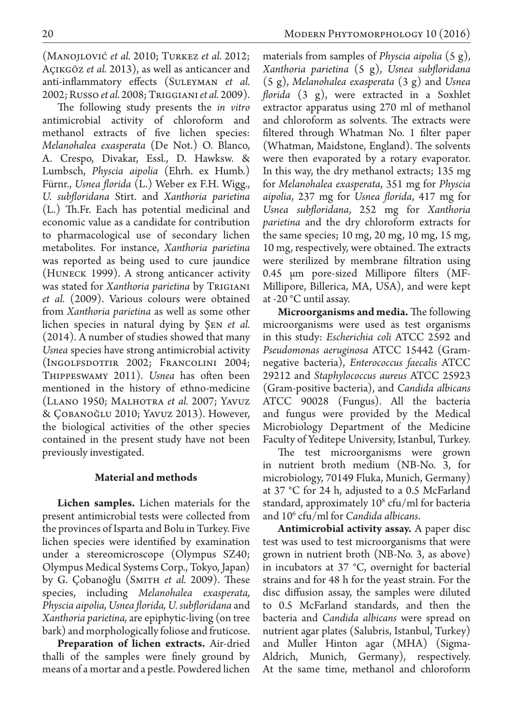(Manojlović *et al.* 2010; Turkez *et al.* 2012; Açıkgöz *et al.* 2013), as well as anticancer and anti-inflammatory effects (Suleyman *et al.*  2002; Russo*et al.* 2008; Triggiani*et al.* 2009).

The following study presents the *in vitro*  antimicrobial activity of chloroform and methanol extracts of five lichen species: *Melanohalea exasperata* (De Not.) O. Blanco, A. Crespo, Divakar, Essl., D. Hawksw. & Lumbsch, *Physcia aipolia* (Ehrh. ex Humb.) Fürnr., *Usnea florida* (L.) Weber ex F.H. Wigg., *U. subfloridana* Stirt. and *Xanthoria parietina*  (L.) Th.Fr. Each has potential medicinal and economic value as a candidate for contribution to pharmacological use of secondary lichen metabolites. For instance, *Xanthoria parietina*  was reported as being used to cure jaundice (Huneck 1999). A strong anticancer activity was stated for *Xanthoria parietina* by Trigiani *et al.* (2009). Various colours were obtained from *Xanthoria parietina* as well as some other lichen species in natural dying by Şen *et al.*  (2014). A number of studies showed that many *Usnea* species have strong antimicrobial activity (Ingolfsdottir 2002; Francolini 2004; Thippeswamy 2011). *Usnea* has often been mentioned in the history of ethno-medicine (Llano 1950; Malhotra *et al.* 2007; Yavuz & Çobanoğlu 2010; Yavuz 2013). However, the biological activities of the other species contained in the present study have not been previously investigated.

## **Material and methods**

**Lichen samples.** Lichen materials for the present antimicrobial tests were collected from the provinces of Isparta and Bolu in Turkey. Five lichen species were identified by examination under a stereomicroscope (Olympus SZ40; Olympus Medical Systems Corp., Tokyo, Japan) by G. Çobanoğlu (SMITH *et al.* 2009). These species, including *Melanohalea exasperata, Physcia aipolia, Usnea florida, U. subfloridana* and *Xanthoria parietina,* are epiphytic-living (on tree bark) and morphologically foliose and fruticose.

**Preparation of lichen extracts.** Air-dried thalli of the samples were finely ground by means of a mortar and a pestle. Powdered lichen

materials from samples of *Physcia aipolia* (5 g), *Xanthoria parietina* (5 g), *Usnea subfloridana*  (5 g), *Melanohalea exasperata* (3 g) and *Usnea florida* (3 g), were extracted in a Soxhlet extractor apparatus using 270 ml of methanol and chloroform as solvents. The extracts were filtered through Whatman No. 1 filter paper (Whatman, Maidstone, England). The solvents were then evaporated by a rotary evaporator. In this way, the dry methanol extracts; 135 mg for *Melanohalea exasperata*, 351 mg for *Physcia aipolia*, 237 mg for *Usnea florida*, 417 mg for *Usnea subfloridana*, 252 mg for *Xanthoria parietina* and the dry chloroform extracts for the same species; 10 mg, 20 mg, 10 mg, 15 mg, 10 mg, respectively, were obtained. The extracts were sterilized by membrane filtration using 0.45 μm pore-sized Millipore filters (MF-Millipore, Billerica, MA, USA), and were kept at -20 °C until assay.

**Microorganisms and media.** The following microorganisms were used as test organisms in this study: *Escherichia coli* ATCC 2592 and *Pseudomonas aeruginosa* ATCC 15442 (Gramnegative bacteria), *Enterococcus faecalis* ATCC 29212 and *Staphylococcus aureus* ATCC 25923 (Gram-positive bacteria), and *Candida albicans*  ATCC 90028 (Fungus). All the bacteria and fungus were provided by the Medical Microbiology Department of the Medicine Faculty of Yeditepe University, Istanbul, Turkey.

The test microorganisms were grown in nutrient broth medium (NB-No. 3, for microbiology, 70149 Fluka, Munich, Germany) at 37 °C for 24 h, adjusted to a 0.5 McFarland standard, approximately 10<sup>8</sup> cfu/ml for bacteria and 106 cfu/ml for *Candida albicans*.

**Antimicrobial activity assay.** A paper disc test was used to test microorganisms that were grown in nutrient broth (NB-No. 3, as above) in incubators at 37 °C, overnight for bacterial strains and for 48 h for the yeast strain. For the disc diffusion assay, the samples were diluted to 0.5 McFarland standards, and then the bacteria and *Candida albicans* were spread on nutrient agar plates (Salubris, Istanbul, Turkey) and Muller Hinton agar (MHA) (Sigma-Aldrich, Munich, Germany), respectively. At the same time, methanol and chloroform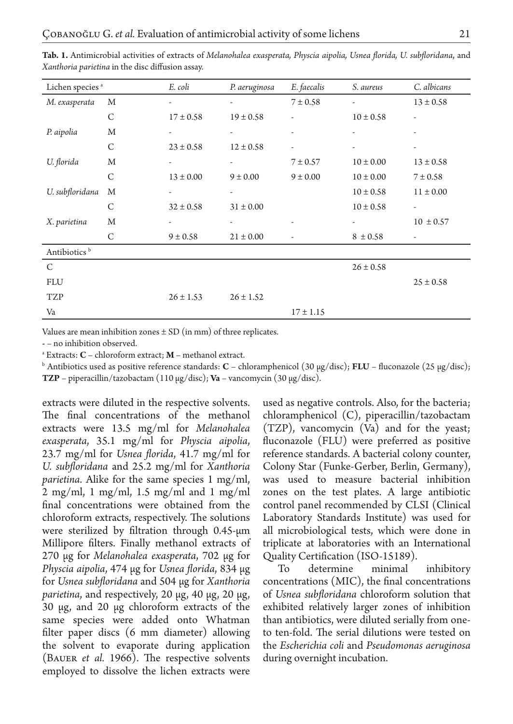| Lichen species <sup>a</sup> |              | E. coli                  | P. aeruginosa            | E. faecalis              | S. aureus                | C. albicans              |
|-----------------------------|--------------|--------------------------|--------------------------|--------------------------|--------------------------|--------------------------|
| M. exasperata               | M            | $\overline{\phantom{0}}$ | $\overline{\phantom{a}}$ | $7 \pm 0.58$             | $\overline{\phantom{a}}$ | $13 \pm 0.58$            |
|                             | C            | $17 \pm 0.58$            | $19 \pm 0.58$            |                          | $10 \pm 0.58$            | $\overline{\phantom{0}}$ |
| P. aipolia                  | M            | $\overline{\phantom{a}}$ | $\overline{\phantom{a}}$ |                          |                          |                          |
|                             | $\mathsf{C}$ | $23 \pm 0.58$            | $12 \pm 0.58$            |                          | $\overline{\phantom{m}}$ |                          |
| U. florida                  | M            | -                        |                          | $7 \pm 0.57$             | $10 \pm 0.00$            | $13 \pm 0.58$            |
|                             | $\mathsf{C}$ | $13 \pm 0.00$            | $9 \pm 0.00$             | $9 \pm 0.00$             | $10 \pm 0.00$            | $7 \pm 0.58$             |
| U. subfloridana             | M            | $\overline{\phantom{a}}$ |                          |                          | $10 \pm 0.58$            | $11 \pm 0.00$            |
|                             | $\mathsf{C}$ | $32 \pm 0.58$            | $31 \pm 0.00$            |                          | $10 \pm 0.58$            | $\frac{1}{2}$            |
| X. parietina                | M            | $\overline{\phantom{a}}$ | $\overline{\phantom{a}}$ | $\overline{\phantom{a}}$ | $\overline{\phantom{a}}$ | $10 \pm 0.57$            |
|                             | C            | $9 \pm 0.58$             | $21 \pm 0.00$            |                          | $8 \pm 0.58$             | $\overline{\phantom{a}}$ |
| Antibiotics <sup>b</sup>    |              |                          |                          |                          |                          |                          |
| C                           |              |                          |                          |                          | $26 \pm 0.58$            |                          |
| <b>FLU</b>                  |              |                          |                          |                          |                          | $25 \pm 0.58$            |
| <b>TZP</b>                  |              | $26 \pm 1.53$            | $26 \pm 1.52$            |                          |                          |                          |
| Va                          |              |                          |                          | $17 \pm 1.15$            |                          |                          |

**Tab. 1.** Antimicrobial activities of extracts of *Melanohalea exasperata, Physcia aipolia, Usnea florida, U. subfloridana*, and *Xanthoria parietina* in the disc diffusion assay.

Values are mean inhibition zones  $\pm$  SD (in mm) of three replicates.

**-** – no inhibition observed.

a Extracts: **C** – chloroform extract; **M** – methanol extract.

b Antibiotics used as positive reference standards: **C** – chloramphenicol (30 μg/disc); **FLU** – fluconazole (25 μg/disc); **TZP** – piperacillin/tazobactam (110 μg/disc); **Va** – vancomycin (30 μg/disc).

extracts were diluted in the respective solvents. The final concentrations of the methanol extracts were 13.5 mg/ml for *Melanohalea exasperata*, 35.1 mg/ml for *Physcia aipolia*, 23.7 mg/ml for *Usnea florida*, 41.7 mg/ml for *U. subfloridana* and 25.2 mg/ml for *Xanthoria parietina*. Alike for the same species 1 mg/ml, 2 mg/ml, 1 mg/ml, 1.5 mg/ml and 1 mg/ml final concentrations were obtained from the chloroform extracts, respectively. The solutions were sterilized by filtration through 0.45-μm Millipore filters. Finally methanol extracts of 270 μg for *Melanohalea exasperata*, 702 μg for *Physcia aipolia*, 474 μg for *Usnea florida*, 834 μg for *Usnea subfloridana* and 504 μg for *Xanthoria parietina*, and respectively, 20 μg, 40 μg, 20 μg, 30 μg, and 20 μg chloroform extracts of the same species were added onto Whatman filter paper discs (6 mm diameter) allowing the solvent to evaporate during application (Bauer *et al.* 1966). The respective solvents employed to dissolve the lichen extracts were

used as negative controls. Also, for the bacteria; chloramphenicol (C), piperacillin/tazobactam (TZP), vancomycin (Va) and for the yeast; fluconazole (FLU) were preferred as positive reference standards. A bacterial colony counter, Colony Star (Funke-Gerber, Berlin, Germany), was used to measure bacterial inhibition zones on the test plates. A large antibiotic control panel recommended by CLSI (Clinical Laboratory Standards Institute) was used for all microbiological tests, which were done in triplicate at laboratories with an International Quality Certification (ISO-15189).

To determine minimal inhibitory concentrations (MIC), the final concentrations of *Usnea subfloridana* chloroform solution that exhibited relatively larger zones of inhibition than antibiotics, were diluted serially from oneto ten-fold. The serial dilutions were tested on the *Escherichia coli* and *Pseudomonas aeruginosa* during overnight incubation.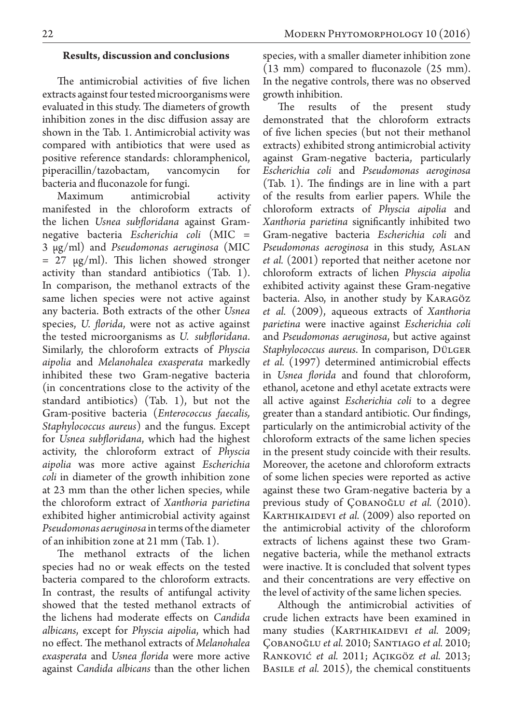#### **Results, discussion and conclusions**

The antimicrobial activities of five lichen extracts against four tested microorganisms were evaluated in this study. The diameters of growth inhibition zones in the disc diffusion assay are shown in the Tab. 1. Antimicrobial activity was compared with antibiotics that were used as positive reference standards: chloramphenicol, piperacillin/tazobactam, vancomycin for bacteria and fluconazole for fungi.

Maximum antimicrobial activity manifested in the chloroform extracts of the lichen *Usnea subfloridana* against Gramnegative bacteria *Escherichia coli* (MIC = 3 μg/ml) and *Pseudomonas aeruginosa* (MIC  $= 27 \mu g/ml$ ). This lichen showed stronger activity than standard antibiotics (Tab. 1). In comparison, the methanol extracts of the same lichen species were not active against any bacteria. Both extracts of the other *Usnea*  species, *U. florida*, were not as active against the tested microorganisms as *U. subfloridana*. Similarly, the chloroform extracts of *Physcia aipolia* and *Melanohalea exasperata* markedly inhibited these two Gram-negative bacteria (in concentrations close to the activity of the standard antibiotics) (Tab. 1), but not the Gram-positive bacteria (*Enterococcus faecalis, Staphylococcus aureus*) and the fungus. Except for *Usnea subfloridana*, which had the highest activity, the chloroform extract of *Physcia aipolia* was more active against *Escherichia coli* in diameter of the growth inhibition zone at 23 mm than the other lichen species, while the chloroform extract of *Xanthoria parietina*  exhibited higher antimicrobial activity against *Pseudomonas aeruginosa* in terms of the diameter of an inhibition zone at 21 mm (Tab. 1).

The methanol extracts of the lichen species had no or weak effects on the tested bacteria compared to the chloroform extracts. In contrast, the results of antifungal activity showed that the tested methanol extracts of the lichens had moderate effects on *Candida albicans*, except for *Physcia aipolia*, which had no effect. The methanol extracts of *Melanohalea exasperata* and *Usnea florida* were more active against *Candida albicans* than the other lichen species, with a smaller diameter inhibition zone (13 mm) compared to fluconazole (25 mm). In the negative controls, there was no observed growth inhibition.

The results of the present study demonstrated that the chloroform extracts of five lichen species (but not their methanol extracts) exhibited strong antimicrobial activity against Gram-negative bacteria, particularly *Escherichia coli* and *Pseudomonas aeroginosa* (Tab. 1). The findings are in line with a part of the results from earlier papers. While the chloroform extracts of *Physcia aipolia* and *Xanthoria parietina* significantly inhibited two Gram-negative bacteria *Escherichia coli* and *Pseudomonas aeroginosa* in this study, Aslan *et al.* (2001) reported that neither acetone nor chloroform extracts of lichen *Physcia aipolia* exhibited activity against these Gram-negative bacteria. Also, in another study by Karagöz *et al.* (2009), aqueous extracts of *Xanthoria parietina* were inactive against *Escherichia coli* and *Pseudomonas aeruginosa*, but active against *Staphylococcus aureus*. In comparison, Dülger *et al.* (1997) determined antimicrobial effects in *Usnea florida* and found that chloroform, ethanol, acetone and ethyl acetate extracts were all active against *Escherichia coli* to a degree greater than a standard antibiotic. Our findings, particularly on the antimicrobial activity of the chloroform extracts of the same lichen species in the present study coincide with their results. Moreover, the acetone and chloroform extracts of some lichen species were reported as active against these two Gram-negative bacteria by a previous study of Çobanoğlu *et al.* (2010). KARTHIKAIDEVI *et al.* (2009) also reported on the antimicrobial activity of the chloroform extracts of lichens against these two Gramnegative bacteria, while the methanol extracts were inactive. It is concluded that solvent types and their concentrations are very effective on the level of activity of the same lichen species.

Although the antimicrobial activities of crude lichen extracts have been examined in many studies (KARTHIKAIDEVI *et al.* 2009; Çobanoğlu *et al.* 2010; Santiago *et al.* 2010; Ranković *et al.* 2011; Açıkgöz *et al.* 2013; Basile *et al.* 2015), the chemical constituents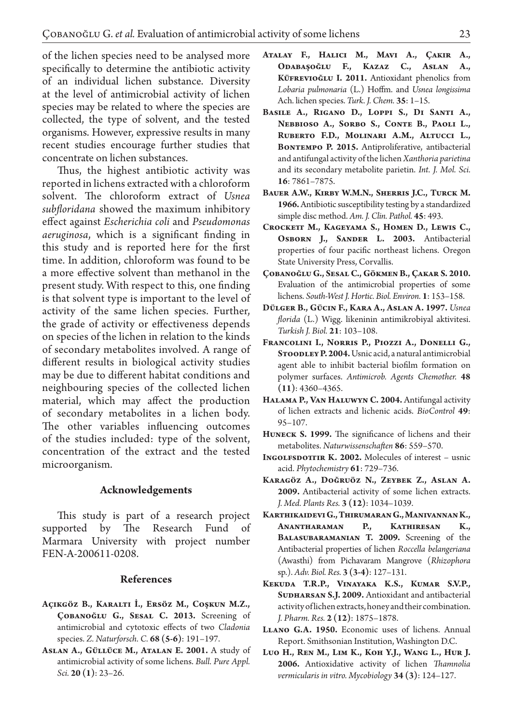of the lichen species need to be analysed more specifically to determine the antibiotic activity of an individual lichen substance. Diversity at the level of antimicrobial activity of lichen species may be related to where the species are collected, the type of solvent, and the tested organisms. However, expressive results in many recent studies encourage further studies that concentrate on lichen substances.

Thus, the highest antibiotic activity was reported in lichens extracted with a chloroform solvent. The chloroform extract of *Usnea subfloridana* showed the maximum inhibitory effect against *Escherichia coli* and *Pseudomonas aeruginosa*, which is a significant finding in this study and is reported here for the first time. In addition, chloroform was found to be a more effective solvent than methanol in the present study. With respect to this, one finding is that solvent type is important to the level of activity of the same lichen species. Further, the grade of activity or effectiveness depends on species of the lichen in relation to the kinds of secondary metabolites involved. A range of different results in biological activity studies may be due to different habitat conditions and neighbouring species of the collected lichen material, which may affect the production of secondary metabolites in a lichen body. The other variables influencing outcomes of the studies included: type of the solvent, concentration of the extract and the tested microorganism.

### **Acknowledgements**

This study is part of a research project supported by The Research Fund of Marmara University with project number FEN-A-200611-0208.

## **References**

- **Açikgöz B., Karalti İ., Ersöz M., Coşkun M.Z., Çobanoğlu G., Sesal C. 2013.** Screening of antimicrobial and cytotoxic effects of two *Cladonia* species. *Z. Naturforsch. C.* **68 (5-6)**: 191–197.
- **Aslan A., Güllüce M., Atalan E. 2001.** A study of antimicrobial activity of some lichens. *Bull. Pure Appl. Sci.* **20 (1)**: 23–26.
- **Atalay F., Halici M., Mavi A., Çakir A., Odabaşoğlu F., Kazaz C., Aslan A., Küfrevioğlu I. 2011.** Antioxidant phenolics from *Lobaria pulmonaria* (L.) Hoffm. and *Usnea longissima*  Ach. lichen species. *Turk. J. Chem.* **35**: 1–15.
- **Basile A., Rigano D., Loppi S., Di Santi A., Nebbioso A., Sorbo S., Conte B., Paoli L., Ruberto F.D., Molinari A.M., Altucci L.,**  BONTEMPO P. 2015. Antiproliferative, antibacterial and antifungal activity of the lichen *Xanthoria parietina* and its secondary metabolite parietin. *Int. J. Mol. Sci.*  **16**: 7861–7875.
- **Bauer A.W., Kirby W.M.N., Sherris J.C., Turck M. 1966.** Antibiotic susceptibility testing by a standardized simple disc method. *Am. J. Clin. Pathol.* **45**: 493.
- CROCKETT M., KAGEYAMA S., HOMEN D., LEWIS C., **Osborn J., Sander L. 2003.** Antibacterial properties of four pacific northeast lichens. Oregon State University Press, Corvallis.
- **Çobanoğlu G., Sesal C., Gökmen B., Çakar S. 2010.**  Evaluation of the antimicrobial properties of some lichens. *South-West J. Hortic. Biol. Environ.* **1**: 153–158.
- **Dülger B., Gücin F., Kara A., Aslan A. 1997.** *Usnea florida* (L.) Wigg. likeninin antimikrobiyal aktivitesi. *Turkish J. Biol.* **21**: 103–108.
- **Francolini I., Norris P., Piozzi A., Donelli G., Stoodley P. 2004.** Usnic acid, a natural antimicrobial agent able to inhibit bacterial biofilm formation on polymer surfaces. *Antimicrob. Agents Chemother.* **48 (11)**: 4360–4365.
- **Halama P., Van Haluwyn C. 2004.** Antifungal activity of lichen extracts and lichenic acids. *BioControl* **49**: 95–107.
- **Huneck S. 1999.** The significance of lichens and their metabolites. *Naturwissenschaften* **86**: 559–570.
- **INGOLFSDOTTIR K. 2002.** Molecules of interest usnic acid. *Phytochemistry* **61**: 729–736.
- **Karagöz A., Doğruöz N., Zeybek Z., Aslan A. 2009.** Antibacterial activity of some lichen extracts. *J. Med. Plants Res.* **3 (12)**: 1034–1039.
- **Karthikaidevi G., Thirumaran G., Manivannan K., Anantharaman P., Kathiresan K., Balasubaramanian T. 2009.** Screening of the Antibacterial properties of lichen *Roccella belangeriana* (Awasthi) from Pichavaram Mangrove (*Rhizophora* sp.). *Adv. Biol. Res.* **3 (3-4)**: 127–131.
- **Kekuda T.R.P., Vinayaka K.S., Kumar S.V.P.,**  SUDHARSAN S.J. 2009. Antioxidant and antibacterial activity of lichen extracts, honey and their combination. *J. Pharm. Res.* **2 (12)**: 1875–1878.
- **Llano G.A. 1950.** Economic uses of lichens. Annual Report. Smithsonian Institution, Washington D.C.
- **Luo H., Ren M., Lim K., Koh Y.J., Wang L., Hur J. 2006.** Antioxidative activity of lichen *Thamnolia vermicularis in vitro. Mycobiology* **34 (3)**: 124–127.